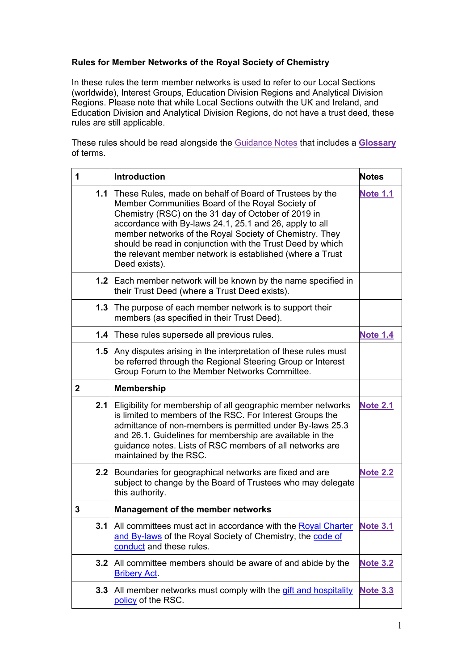## <span id="page-0-0"></span>**Rules for Member Networks of the Royal Society of Chemistry**

In these rules the term member networks is used to refer to our Local Sections (worldwide), Interest Groups, Education Division Regions and Analytical Division Regions. Please note that while Local Sections outwith the UK and Ireland, and Education Division and Analytical Division Regions, do not have a trust deed, these rules are still applicable.

These rules should be read alongside the [Guidance Notes](#page-7-0) that includes a **[Glossary](#page-17-0)** of terms.

<span id="page-0-7"></span><span id="page-0-6"></span><span id="page-0-5"></span><span id="page-0-4"></span><span id="page-0-3"></span><span id="page-0-2"></span><span id="page-0-1"></span>

| 1            | <b>Introduction</b>                                                                                                                                                                                                                                                                                                                                                                                                                        | <b>Notes</b>    |
|--------------|--------------------------------------------------------------------------------------------------------------------------------------------------------------------------------------------------------------------------------------------------------------------------------------------------------------------------------------------------------------------------------------------------------------------------------------------|-----------------|
|              | 1.1   These Rules, made on behalf of Board of Trustees by the<br>Member Communities Board of the Royal Society of<br>Chemistry (RSC) on the 31 day of October of 2019 in<br>accordance with By-laws 24.1, 25.1 and 26, apply to all<br>member networks of the Royal Society of Chemistry. They<br>should be read in conjunction with the Trust Deed by which<br>the relevant member network is established (where a Trust<br>Deed exists). | <b>Note 1.1</b> |
|              | 1.2 Each member network will be known by the name specified in<br>their Trust Deed (where a Trust Deed exists).                                                                                                                                                                                                                                                                                                                            |                 |
| 1.3          | The purpose of each member network is to support their<br>members (as specified in their Trust Deed).                                                                                                                                                                                                                                                                                                                                      |                 |
|              | 1.4 These rules supersede all previous rules.                                                                                                                                                                                                                                                                                                                                                                                              | <b>Note 1.4</b> |
|              | <b>1.5</b> Any disputes arising in the interpretation of these rules must<br>be referred through the Regional Steering Group or Interest<br>Group Forum to the Member Networks Committee.                                                                                                                                                                                                                                                  |                 |
| $\mathbf{2}$ | <b>Membership</b>                                                                                                                                                                                                                                                                                                                                                                                                                          |                 |
|              | 2.1 Eligibility for membership of all geographic member networks<br>is limited to members of the RSC. For Interest Groups the<br>admittance of non-members is permitted under By-laws 25.3<br>and 26.1. Guidelines for membership are available in the<br>guidance notes. Lists of RSC members of all networks are<br>maintained by the RSC.                                                                                               | <b>Note 2.1</b> |
|              | 2.2 Boundaries for geographical networks are fixed and are<br>subject to change by the Board of Trustees who may delegate<br>this authority.                                                                                                                                                                                                                                                                                               | <b>Note 2.2</b> |
| 3            | Management of the member networks                                                                                                                                                                                                                                                                                                                                                                                                          |                 |
| 3.1          | All committees must act in accordance with the Royal Charter<br>and By-laws of the Royal Society of Chemistry, the code of<br>conduct and these rules.                                                                                                                                                                                                                                                                                     | <b>Note 3.1</b> |
| 3.2          | All committee members should be aware of and abide by the<br><b>Bribery Act.</b>                                                                                                                                                                                                                                                                                                                                                           | <b>Note 3.2</b> |
| 3.3          | All member networks must comply with the gift and hospitality<br>policy of the RSC.                                                                                                                                                                                                                                                                                                                                                        | <b>Note 3.3</b> |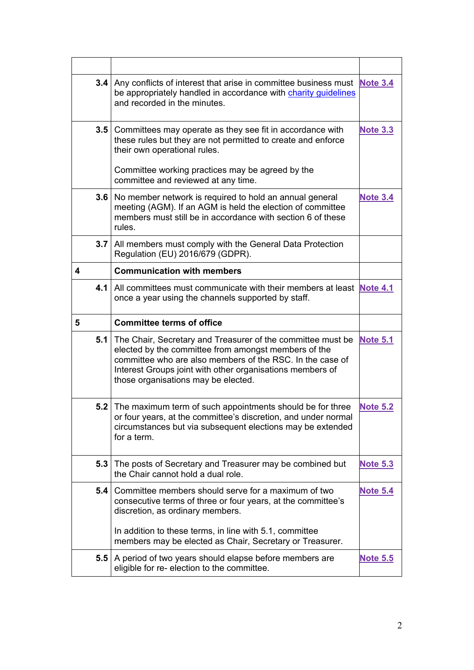<span id="page-1-8"></span><span id="page-1-7"></span><span id="page-1-6"></span><span id="page-1-5"></span><span id="page-1-4"></span><span id="page-1-3"></span><span id="page-1-2"></span><span id="page-1-1"></span><span id="page-1-0"></span>

|                  | 3.4   Any conflicts of interest that arise in committee business must Note 3.4<br>be appropriately handled in accordance with charity quidelines<br>and recorded in the minutes.                                                                                                         |                 |
|------------------|------------------------------------------------------------------------------------------------------------------------------------------------------------------------------------------------------------------------------------------------------------------------------------------|-----------------|
| 3.5 <sub>1</sub> | Committees may operate as they see fit in accordance with<br>these rules but they are not permitted to create and enforce<br>their own operational rules.<br>Committee working practices may be agreed by the                                                                            | <b>Note 3.3</b> |
|                  | committee and reviewed at any time.                                                                                                                                                                                                                                                      |                 |
| 3.6              | No member network is required to hold an annual general<br>meeting (AGM). If an AGM is held the election of committee<br>members must still be in accordance with section 6 of these<br>rules.                                                                                           | <b>Note 3.4</b> |
|                  | 3.7   All members must comply with the General Data Protection<br>Regulation (EU) 2016/679 (GDPR).                                                                                                                                                                                       |                 |
| 4                | <b>Communication with members</b>                                                                                                                                                                                                                                                        |                 |
|                  | 4.1   All committees must communicate with their members at least Note 4.1<br>once a year using the channels supported by staff.                                                                                                                                                         |                 |
|                  |                                                                                                                                                                                                                                                                                          |                 |
| 5                | <b>Committee terms of office</b>                                                                                                                                                                                                                                                         |                 |
|                  | 5.1 The Chair, Secretary and Treasurer of the committee must be<br>elected by the committee from amongst members of the<br>committee who are also members of the RSC. In the case of<br>Interest Groups joint with other organisations members of<br>those organisations may be elected. | <b>Note 5.1</b> |
|                  | 5.2 The maximum term of such appointments should be for three<br>or four years, at the committee's discretion, and under normal<br>circumstances but via subsequent elections may be extended<br>for a term.                                                                             | <b>Note 5.2</b> |
| 5.3              | The posts of Secretary and Treasurer may be combined but<br>the Chair cannot hold a dual role.                                                                                                                                                                                           | <b>Note 5.3</b> |
| 5.4              | Committee members should serve for a maximum of two<br>consecutive terms of three or four years, at the committee's<br>discretion, as ordinary members.                                                                                                                                  | <b>Note 5.4</b> |
|                  | In addition to these terms, in line with 5.1, committee<br>members may be elected as Chair, Secretary or Treasurer.                                                                                                                                                                      |                 |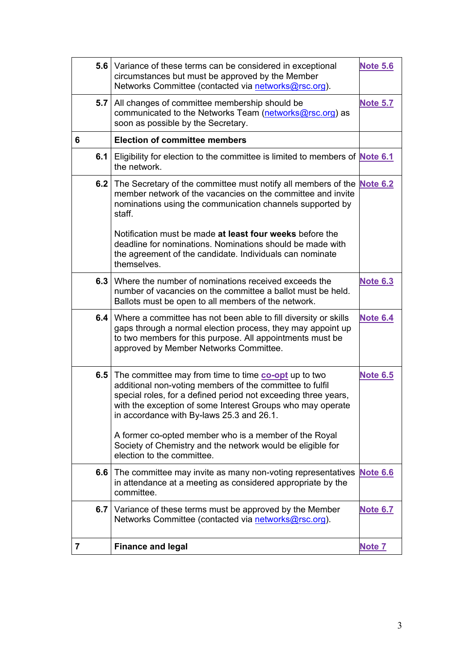<span id="page-2-8"></span><span id="page-2-7"></span><span id="page-2-6"></span><span id="page-2-5"></span><span id="page-2-4"></span><span id="page-2-3"></span><span id="page-2-2"></span><span id="page-2-1"></span><span id="page-2-0"></span>

| 5.6 | Variance of these terms can be considered in exceptional<br>circumstances but must be approved by the Member<br>Networks Committee (contacted via networks@rsc.org).                                                                                                                                                                                                                                                                                      | <b>Note 5.6</b> |
|-----|-----------------------------------------------------------------------------------------------------------------------------------------------------------------------------------------------------------------------------------------------------------------------------------------------------------------------------------------------------------------------------------------------------------------------------------------------------------|-----------------|
| 5.7 | All changes of committee membership should be<br>communicated to the Networks Team (networks@rsc.org) as<br>soon as possible by the Secretary.                                                                                                                                                                                                                                                                                                            | <b>Note 5.7</b> |
| 6   | <b>Election of committee members</b>                                                                                                                                                                                                                                                                                                                                                                                                                      |                 |
| 6.1 | Eligibility for election to the committee is limited to members of <b>Note 6.1</b><br>the network.                                                                                                                                                                                                                                                                                                                                                        |                 |
| 6.2 | The Secretary of the committee must notify all members of the <b>Note 6.2</b><br>member network of the vacancies on the committee and invite<br>nominations using the communication channels supported by<br>staff.                                                                                                                                                                                                                                       |                 |
|     | Notification must be made at least four weeks before the<br>deadline for nominations. Nominations should be made with<br>the agreement of the candidate. Individuals can nominate<br>themselves.                                                                                                                                                                                                                                                          |                 |
| 6.3 | Where the number of nominations received exceeds the<br>number of vacancies on the committee a ballot must be held.<br>Ballots must be open to all members of the network.                                                                                                                                                                                                                                                                                | <b>Note 6.3</b> |
| 6.4 | Where a committee has not been able to fill diversity or skills<br>gaps through a normal election process, they may appoint up<br>to two members for this purpose. All appointments must be<br>approved by Member Networks Committee.                                                                                                                                                                                                                     | <b>Note 6.4</b> |
| 6.5 | The committee may from time to time <b>co-opt</b> up to two<br>additional non-voting members of the committee to fulfil<br>special roles, for a defined period not exceeding three years,<br>with the exception of some Interest Groups who may operate<br>in accordance with By-laws 25.3 and 26.1.<br>A former co-opted member who is a member of the Royal<br>Society of Chemistry and the network would be eligible for<br>election to the committee. | <b>Note 6.5</b> |
| 6.6 | The committee may invite as many non-voting representatives<br>in attendance at a meeting as considered appropriate by the<br>committee.                                                                                                                                                                                                                                                                                                                  | <b>Note 6.6</b> |
|     | 6.7 Variance of these terms must be approved by the Member<br>Networks Committee (contacted via networks@rsc.org).                                                                                                                                                                                                                                                                                                                                        | <b>Note 6.7</b> |
| 7   | <b>Finance and legal</b>                                                                                                                                                                                                                                                                                                                                                                                                                                  | Note 7          |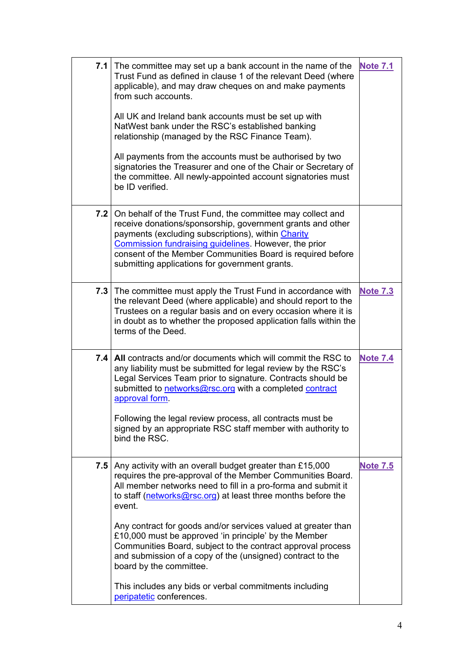<span id="page-3-2"></span><span id="page-3-1"></span><span id="page-3-0"></span>

|     | 7.1 The committee may set up a bank account in the name of the<br>Trust Fund as defined in clause 1 of the relevant Deed (where<br>applicable), and may draw cheques on and make payments<br>from such accounts.<br>All UK and Ireland bank accounts must be set up with<br>NatWest bank under the RSC's established banking<br>relationship (managed by the RSC Finance Team).<br>All payments from the accounts must be authorised by two<br>signatories the Treasurer and one of the Chair or Secretary of<br>the committee. All newly-appointed account signatories must<br>be ID verified.                                               | <b>Note 7.1</b> |
|-----|-----------------------------------------------------------------------------------------------------------------------------------------------------------------------------------------------------------------------------------------------------------------------------------------------------------------------------------------------------------------------------------------------------------------------------------------------------------------------------------------------------------------------------------------------------------------------------------------------------------------------------------------------|-----------------|
| 7.2 | On behalf of the Trust Fund, the committee may collect and<br>receive donations/sponsorship, government grants and other<br>payments (excluding subscriptions), within Charity<br>Commission fundraising guidelines. However, the prior<br>consent of the Member Communities Board is required before<br>submitting applications for government grants.                                                                                                                                                                                                                                                                                       |                 |
|     | 7.3 The committee must apply the Trust Fund in accordance with<br>the relevant Deed (where applicable) and should report to the<br>Trustees on a regular basis and on every occasion where it is<br>in doubt as to whether the proposed application falls within the<br>terms of the Deed.                                                                                                                                                                                                                                                                                                                                                    | <b>Note 7.3</b> |
|     | 7.4   All contracts and/or documents which will commit the RSC to<br>any liability must be submitted for legal review by the RSC's<br>Legal Services Team prior to signature. Contracts should be<br>submitted to networks@rsc.org with a completed contract<br>approval form.<br>Following the legal review process, all contracts must be<br>signed by an appropriate RSC staff member with authority to<br>bind the RSC.                                                                                                                                                                                                                   | <b>Note 7.4</b> |
| 7.5 | Any activity with an overall budget greater than £15,000<br>requires the pre-approval of the Member Communities Board.<br>All member networks need to fill in a pro-forma and submit it<br>to staff ( $networks@rsc.org$ ) at least three months before the<br>event.<br>Any contract for goods and/or services valued at greater than<br>£10,000 must be approved 'in principle' by the Member<br>Communities Board, subject to the contract approval process<br>and submission of a copy of the (unsigned) contract to the<br>board by the committee.<br>This includes any bids or verbal commitments including<br>peripatetic conferences. | <b>Note 7.5</b> |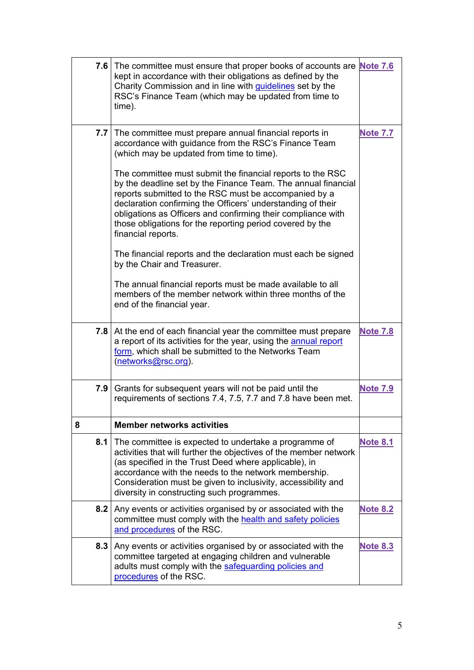<span id="page-4-4"></span><span id="page-4-3"></span><span id="page-4-2"></span><span id="page-4-1"></span><span id="page-4-0"></span>

|                  | 7.6 The committee must ensure that proper books of accounts are <b>Note 7.6</b><br>kept in accordance with their obligations as defined by the<br>Charity Commission and in line with guidelines set by the<br>RSC's Finance Team (which may be updated from time to<br>time).                                                                                                                                                                                                         |                 |
|------------------|----------------------------------------------------------------------------------------------------------------------------------------------------------------------------------------------------------------------------------------------------------------------------------------------------------------------------------------------------------------------------------------------------------------------------------------------------------------------------------------|-----------------|
|                  | 7.7 The committee must prepare annual financial reports in<br>accordance with guidance from the RSC's Finance Team<br>(which may be updated from time to time).<br>The committee must submit the financial reports to the RSC<br>by the deadline set by the Finance Team. The annual financial<br>reports submitted to the RSC must be accompanied by a<br>declaration confirming the Officers' understanding of their<br>obligations as Officers and confirming their compliance with | <b>Note 7.7</b> |
|                  | those obligations for the reporting period covered by the<br>financial reports.<br>The financial reports and the declaration must each be signed<br>by the Chair and Treasurer.                                                                                                                                                                                                                                                                                                        |                 |
|                  | The annual financial reports must be made available to all<br>members of the member network within three months of the<br>end of the financial year.                                                                                                                                                                                                                                                                                                                                   |                 |
| 7.8 <sub>1</sub> | At the end of each financial year the committee must prepare<br>a report of its activities for the year, using the annual report<br>form, which shall be submitted to the Networks Team<br>(networks@rsc.org).                                                                                                                                                                                                                                                                         | <b>Note 7.8</b> |
| 7.9              | Grants for subsequent years will not be paid until the<br>requirements of sections 7.4, 7.5, 7.7 and 7.8 have been met.                                                                                                                                                                                                                                                                                                                                                                | <b>Note 7.9</b> |
| 8                | <b>Member networks activities</b>                                                                                                                                                                                                                                                                                                                                                                                                                                                      |                 |
|                  | <b>8.1</b> The committee is expected to undertake a programme of<br>activities that will further the objectives of the member network<br>(as specified in the Trust Deed where applicable), in<br>accordance with the needs to the network membership.<br>Consideration must be given to inclusivity, accessibility and<br>diversity in constructing such programmes.                                                                                                                  | <b>Note 8.1</b> |
| 8.2              | Any events or activities organised by or associated with the<br>committee must comply with the health and safety policies<br>and procedures of the RSC.                                                                                                                                                                                                                                                                                                                                | <b>Note 8.2</b> |
| 8.3              | Any events or activities organised by or associated with the<br>committee targeted at engaging children and vulnerable<br>adults must comply with the safeguarding policies and<br>procedures of the RSC.                                                                                                                                                                                                                                                                              | <b>Note 8.3</b> |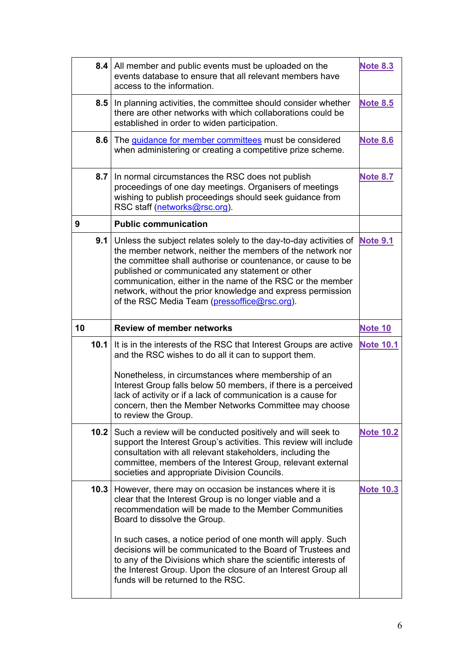<span id="page-5-8"></span><span id="page-5-7"></span><span id="page-5-6"></span><span id="page-5-5"></span><span id="page-5-4"></span><span id="page-5-3"></span><span id="page-5-2"></span><span id="page-5-1"></span><span id="page-5-0"></span>

|    |                  | 8.4   All member and public events must be uploaded on the<br>events database to ensure that all relevant members have<br>access to the information.                                                                                                                                                                                                                                                                             | <b>Note 8.3</b>  |
|----|------------------|----------------------------------------------------------------------------------------------------------------------------------------------------------------------------------------------------------------------------------------------------------------------------------------------------------------------------------------------------------------------------------------------------------------------------------|------------------|
|    | 8.5              | In planning activities, the committee should consider whether<br>there are other networks with which collaborations could be<br>established in order to widen participation.                                                                                                                                                                                                                                                     | <b>Note 8.5</b>  |
|    | 8.6 <sub>1</sub> | The guidance for member committees must be considered<br>when administering or creating a competitive prize scheme.                                                                                                                                                                                                                                                                                                              | <b>Note 8.6</b>  |
|    | 8.7              | In normal circumstances the RSC does not publish<br>proceedings of one day meetings. Organisers of meetings<br>wishing to publish proceedings should seek guidance from<br>RSC staff (networks@rsc.org).                                                                                                                                                                                                                         | <b>Note 8.7</b>  |
| 9  |                  | <b>Public communication</b>                                                                                                                                                                                                                                                                                                                                                                                                      |                  |
|    | 9.1              | Unless the subject relates solely to the day-to-day activities of<br>the member network, neither the members of the network nor<br>the committee shall authorise or countenance, or cause to be<br>published or communicated any statement or other<br>communication, either in the name of the RSC or the member<br>network, without the prior knowledge and express permission<br>of the RSC Media Team (pressoffice@rsc.org). | <b>Note 9.1</b>  |
| 10 |                  | <b>Review of member networks</b>                                                                                                                                                                                                                                                                                                                                                                                                 | <b>Note 10</b>   |
|    | 10.1             | It is in the interests of the RSC that Interest Groups are active<br>and the RSC wishes to do all it can to support them.                                                                                                                                                                                                                                                                                                        | <b>Note 10.1</b> |
|    |                  | Nonetheless, in circumstances where membership of an<br>Interest Group falls below 50 members, if there is a perceived<br>lack of activity or if a lack of communication is a cause for<br>concern, then the Member Networks Committee may choose<br>to review the Group.                                                                                                                                                        |                  |
|    | 10.2             | Such a review will be conducted positively and will seek to<br>support the Interest Group's activities. This review will include<br>consultation with all relevant stakeholders, including the<br>committee, members of the Interest Group, relevant external<br>societies and appropriate Division Councils.                                                                                                                    | <b>Note 10.2</b> |
|    | 10.3             | However, there may on occasion be instances where it is<br>clear that the Interest Group is no longer viable and a<br>recommendation will be made to the Member Communities<br>Board to dissolve the Group.                                                                                                                                                                                                                      | <b>Note 10.3</b> |
|    |                  | In such cases, a notice period of one month will apply. Such<br>decisions will be communicated to the Board of Trustees and<br>to any of the Divisions which share the scientific interests of<br>the Interest Group. Upon the closure of an Interest Group all<br>funds will be returned to the RSC.                                                                                                                            |                  |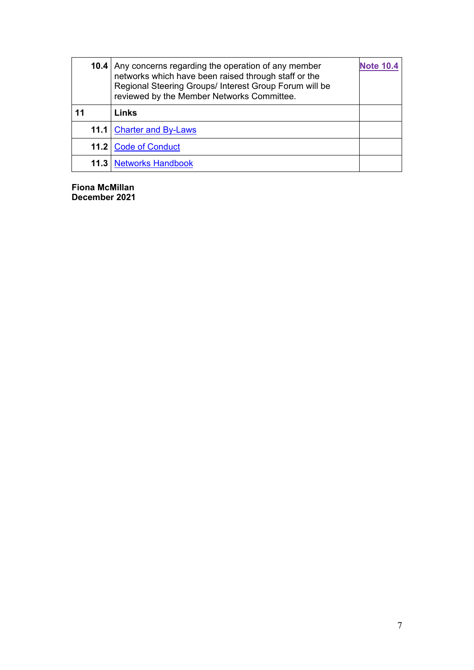<span id="page-6-0"></span>

|    | <b>10.4</b> Any concerns regarding the operation of any member<br>networks which have been raised through staff or the<br>Regional Steering Groups/ Interest Group Forum will be<br>reviewed by the Member Networks Committee. | <b>Note 10.4</b> |
|----|--------------------------------------------------------------------------------------------------------------------------------------------------------------------------------------------------------------------------------|------------------|
| 11 | Links                                                                                                                                                                                                                          |                  |
|    | 11.1 Charter and By-Laws                                                                                                                                                                                                       |                  |
|    | 11.2 Code of Conduct                                                                                                                                                                                                           |                  |
|    | <b>11.3 Networks Handbook</b>                                                                                                                                                                                                  |                  |

**Fiona McMillan December 2021**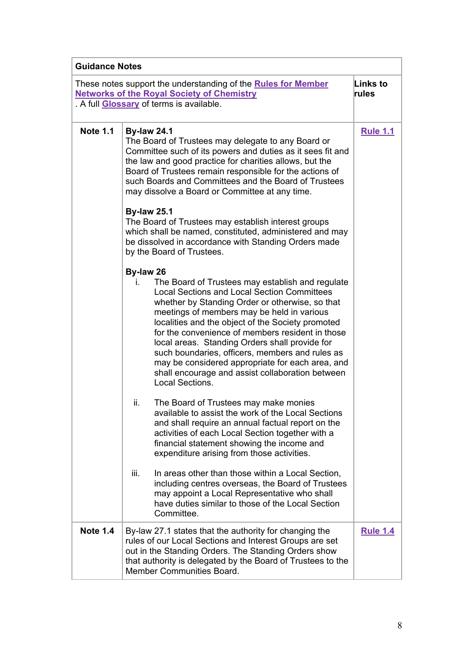<span id="page-7-2"></span><span id="page-7-1"></span><span id="page-7-0"></span>

| <b>Guidance Notes</b> |                                                                                                                                                                                                                                                                                                                                                                                                                                                                                                                                                                     |                   |
|-----------------------|---------------------------------------------------------------------------------------------------------------------------------------------------------------------------------------------------------------------------------------------------------------------------------------------------------------------------------------------------------------------------------------------------------------------------------------------------------------------------------------------------------------------------------------------------------------------|-------------------|
|                       | These notes support the understanding of the <b>Rules for Member</b><br><b>Networks of the Royal Society of Chemistry</b><br>. A full Glossary of terms is available.                                                                                                                                                                                                                                                                                                                                                                                               | Links to<br>rules |
| <b>Note 1.1</b>       | <b>By-law 24.1</b><br>The Board of Trustees may delegate to any Board or<br>Committee such of its powers and duties as it sees fit and<br>the law and good practice for charities allows, but the<br>Board of Trustees remain responsible for the actions of<br>such Boards and Committees and the Board of Trustees<br>may dissolve a Board or Committee at any time.                                                                                                                                                                                              | <b>Rule 1.1</b>   |
|                       | <b>By-law 25.1</b><br>The Board of Trustees may establish interest groups<br>which shall be named, constituted, administered and may<br>be dissolved in accordance with Standing Orders made<br>by the Board of Trustees.                                                                                                                                                                                                                                                                                                                                           |                   |
|                       | By-law 26<br>The Board of Trustees may establish and regulate<br>L.<br><b>Local Sections and Local Section Committees</b><br>whether by Standing Order or otherwise, so that<br>meetings of members may be held in various<br>localities and the object of the Society promoted<br>for the convenience of members resident in those<br>local areas. Standing Orders shall provide for<br>such boundaries, officers, members and rules as<br>may be considered appropriate for each area, and<br>shall encourage and assist collaboration between<br>Local Sections. |                   |
|                       | ii.<br>The Board of Trustees may make monies<br>available to assist the work of the Local Sections<br>and shall require an annual factual report on the<br>activities of each Local Section together with a<br>financial statement showing the income and<br>expenditure arising from those activities.                                                                                                                                                                                                                                                             |                   |
|                       | iii.<br>In areas other than those within a Local Section,<br>including centres overseas, the Board of Trustees<br>may appoint a Local Representative who shall<br>have duties similar to those of the Local Section<br>Committee.                                                                                                                                                                                                                                                                                                                                   |                   |
| <b>Note 1.4</b>       | By-law 27.1 states that the authority for changing the<br>rules of our Local Sections and Interest Groups are set<br>out in the Standing Orders. The Standing Orders show<br>that authority is delegated by the Board of Trustees to the<br>Member Communities Board.                                                                                                                                                                                                                                                                                               | <b>Rule 1.4</b>   |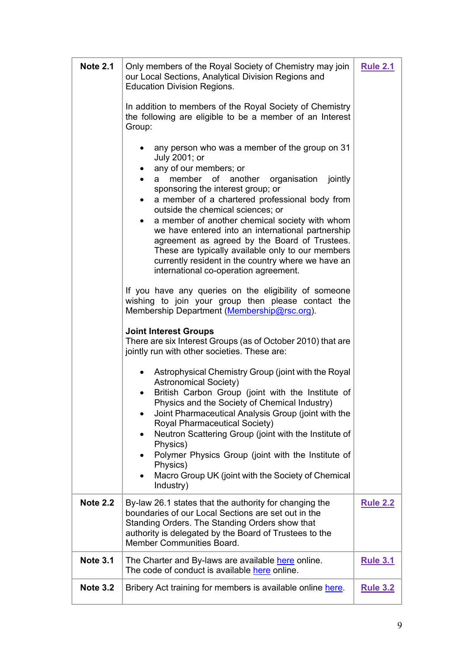<span id="page-8-3"></span><span id="page-8-2"></span><span id="page-8-1"></span><span id="page-8-0"></span>

| <b>Note 2.1</b> | Only members of the Royal Society of Chemistry may join<br>our Local Sections, Analytical Division Regions and<br><b>Education Division Regions.</b><br>In addition to members of the Royal Society of Chemistry<br>the following are eligible to be a member of an Interest<br>Group:<br>any person who was a member of the group on 31<br>July 2001; or<br>any of our members; or<br>member of another organisation jointly<br>a<br>sponsoring the interest group; or<br>a member of a chartered professional body from<br>$\bullet$<br>outside the chemical sciences; or<br>a member of another chemical society with whom<br>$\bullet$<br>we have entered into an international partnership<br>agreement as agreed by the Board of Trustees.<br>These are typically available only to our members<br>currently resident in the country where we have an<br>international co-operation agreement.<br>If you have any queries on the eligibility of someone<br>wishing to join your group then please contact the<br>Membership Department (Membership@rsc.org).<br><b>Joint Interest Groups</b><br>There are six Interest Groups (as of October 2010) that are<br>jointly run with other societies. These are: | <b>Rule 2.1</b> |
|-----------------|-------------------------------------------------------------------------------------------------------------------------------------------------------------------------------------------------------------------------------------------------------------------------------------------------------------------------------------------------------------------------------------------------------------------------------------------------------------------------------------------------------------------------------------------------------------------------------------------------------------------------------------------------------------------------------------------------------------------------------------------------------------------------------------------------------------------------------------------------------------------------------------------------------------------------------------------------------------------------------------------------------------------------------------------------------------------------------------------------------------------------------------------------------------------------------------------------------------------|-----------------|
|                 | • Astrophysical Chemistry Group (joint with the Royal<br><b>Astronomical Society)</b><br>British Carbon Group (joint with the Institute of<br>Physics and the Society of Chemical Industry)<br>Joint Pharmaceutical Analysis Group (joint with the<br>Royal Pharmaceutical Society)<br>Neutron Scattering Group (joint with the Institute of<br>Physics)<br>Polymer Physics Group (joint with the Institute of<br>Physics)<br>Macro Group UK (joint with the Society of Chemical<br>٠<br>Industry)                                                                                                                                                                                                                                                                                                                                                                                                                                                                                                                                                                                                                                                                                                                |                 |
| <b>Note 2.2</b> | By-law 26.1 states that the authority for changing the<br>boundaries of our Local Sections are set out in the<br>Standing Orders. The Standing Orders show that<br>authority is delegated by the Board of Trustees to the<br>Member Communities Board.                                                                                                                                                                                                                                                                                                                                                                                                                                                                                                                                                                                                                                                                                                                                                                                                                                                                                                                                                            | <b>Rule 2.2</b> |
| <b>Note 3.1</b> | The Charter and By-laws are available here online.<br>The code of conduct is available here online.                                                                                                                                                                                                                                                                                                                                                                                                                                                                                                                                                                                                                                                                                                                                                                                                                                                                                                                                                                                                                                                                                                               | <b>Rule 3.1</b> |
| <b>Note 3.2</b> | Bribery Act training for members is available online here.                                                                                                                                                                                                                                                                                                                                                                                                                                                                                                                                                                                                                                                                                                                                                                                                                                                                                                                                                                                                                                                                                                                                                        | <b>Rule 3.2</b> |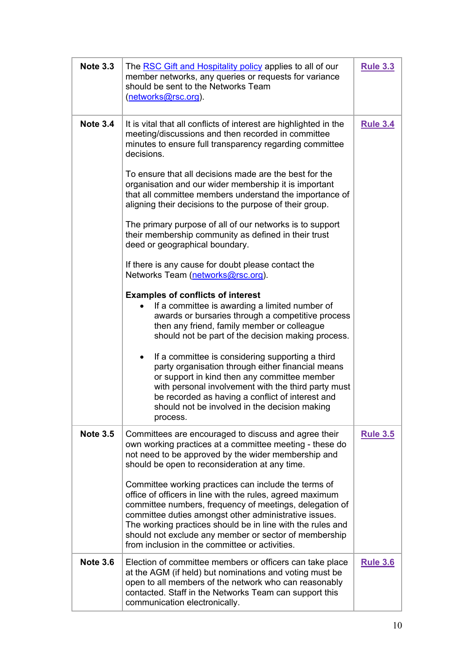<span id="page-9-1"></span><span id="page-9-0"></span>

| <b>Note 3.3</b> | The RSC Gift and Hospitality policy applies to all of our<br>member networks, any queries or requests for variance<br>should be sent to the Networks Team<br>(networks@rsc.org).                                                                                                                                                                                                                               | <b>Rule 3.3</b> |
|-----------------|----------------------------------------------------------------------------------------------------------------------------------------------------------------------------------------------------------------------------------------------------------------------------------------------------------------------------------------------------------------------------------------------------------------|-----------------|
| <b>Note 3.4</b> | It is vital that all conflicts of interest are highlighted in the<br>meeting/discussions and then recorded in committee<br>minutes to ensure full transparency regarding committee<br>decisions.                                                                                                                                                                                                               | <b>Rule 3.4</b> |
|                 | To ensure that all decisions made are the best for the<br>organisation and our wider membership it is important<br>that all committee members understand the importance of<br>aligning their decisions to the purpose of their group.                                                                                                                                                                          |                 |
|                 | The primary purpose of all of our networks is to support<br>their membership community as defined in their trust<br>deed or geographical boundary.                                                                                                                                                                                                                                                             |                 |
|                 | If there is any cause for doubt please contact the<br>Networks Team (networks@rsc.org).                                                                                                                                                                                                                                                                                                                        |                 |
|                 | <b>Examples of conflicts of interest</b><br>If a committee is awarding a limited number of<br>awards or bursaries through a competitive process<br>then any friend, family member or colleague<br>should not be part of the decision making process.                                                                                                                                                           |                 |
|                 | If a committee is considering supporting a third<br>party organisation through either financial means<br>or support in kind then any committee member<br>with personal involvement with the third party must<br>be recorded as having a conflict of interest and<br>should not be involved in the decision making<br>process.                                                                                  |                 |
| <b>Note 3.5</b> | Committees are encouraged to discuss and agree their<br>own working practices at a committee meeting - these do<br>not need to be approved by the wider membership and<br>should be open to reconsideration at any time.                                                                                                                                                                                       | <b>Rule 3.5</b> |
|                 | Committee working practices can include the terms of<br>office of officers in line with the rules, agreed maximum<br>committee numbers, frequency of meetings, delegation of<br>committee duties amongst other administrative issues.<br>The working practices should be in line with the rules and<br>should not exclude any member or sector of membership<br>from inclusion in the committee or activities. |                 |
| <b>Note 3.6</b> | Election of committee members or officers can take place<br>at the AGM (if held) but nominations and voting must be<br>open to all members of the network who can reasonably<br>contacted. Staff in the Networks Team can support this<br>communication electronically.                                                                                                                                        | <b>Rule 3.6</b> |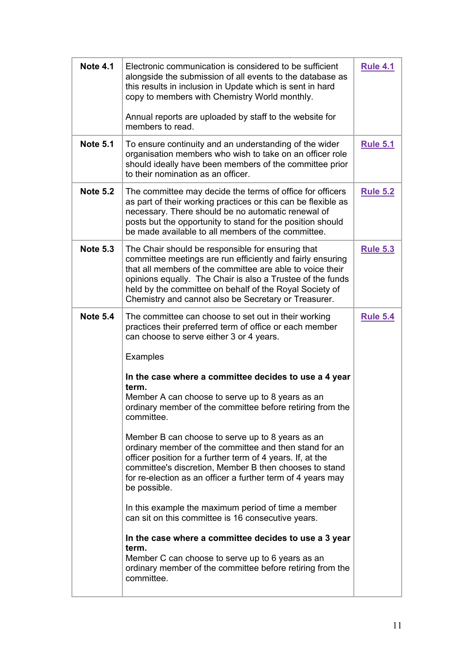<span id="page-10-4"></span><span id="page-10-3"></span><span id="page-10-2"></span><span id="page-10-1"></span><span id="page-10-0"></span>

| <b>Note 4.1</b> | Electronic communication is considered to be sufficient<br>alongside the submission of all events to the database as<br>this results in inclusion in Update which is sent in hard<br>copy to members with Chemistry World monthly.<br>Annual reports are uploaded by staff to the website for<br>members to read.                                             | <b>Rule 4.1</b> |
|-----------------|---------------------------------------------------------------------------------------------------------------------------------------------------------------------------------------------------------------------------------------------------------------------------------------------------------------------------------------------------------------|-----------------|
| <b>Note 5.1</b> | To ensure continuity and an understanding of the wider<br>organisation members who wish to take on an officer role<br>should ideally have been members of the committee prior<br>to their nomination as an officer.                                                                                                                                           | <b>Rule 5.1</b> |
| <b>Note 5.2</b> | The committee may decide the terms of office for officers<br>as part of their working practices or this can be flexible as<br>necessary. There should be no automatic renewal of<br>posts but the opportunity to stand for the position should<br>be made available to all members of the committee.                                                          | <b>Rule 5.2</b> |
| <b>Note 5.3</b> | The Chair should be responsible for ensuring that<br>committee meetings are run efficiently and fairly ensuring<br>that all members of the committee are able to voice their<br>opinions equally. The Chair is also a Trustee of the funds<br>held by the committee on behalf of the Royal Society of<br>Chemistry and cannot also be Secretary or Treasurer. | <b>Rule 5.3</b> |
| <b>Note 5.4</b> | The committee can choose to set out in their working<br>practices their preferred term of office or each member<br>can choose to serve either 3 or 4 years.<br>Examples                                                                                                                                                                                       | <b>Rule 5.4</b> |
|                 | In the case where a committee decides to use a 4 year<br>term.<br>Member A can choose to serve up to 8 years as an<br>ordinary member of the committee before retiring from the<br>committee.                                                                                                                                                                 |                 |
|                 | Member B can choose to serve up to 8 years as an<br>ordinary member of the committee and then stand for an<br>officer position for a further term of 4 years. If, at the<br>committee's discretion, Member B then chooses to stand<br>for re-election as an officer a further term of 4 years may<br>be possible.                                             |                 |
|                 | In this example the maximum period of time a member<br>can sit on this committee is 16 consecutive years.                                                                                                                                                                                                                                                     |                 |
|                 | In the case where a committee decides to use a 3 year<br>term.<br>Member C can choose to serve up to 6 years as an<br>ordinary member of the committee before retiring from the<br>committee.                                                                                                                                                                 |                 |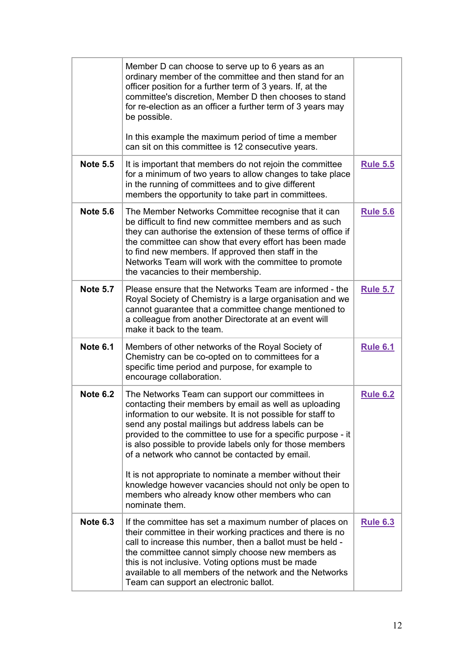<span id="page-11-5"></span><span id="page-11-4"></span><span id="page-11-3"></span><span id="page-11-2"></span><span id="page-11-1"></span><span id="page-11-0"></span>

|                 | Member D can choose to serve up to 6 years as an<br>ordinary member of the committee and then stand for an<br>officer position for a further term of 3 years. If, at the<br>committee's discretion, Member D then chooses to stand<br>for re-election as an officer a further term of 3 years may<br>be possible.<br>In this example the maximum period of time a member<br>can sit on this committee is 12 consecutive years.                                                                                                                                                                          |                 |
|-----------------|---------------------------------------------------------------------------------------------------------------------------------------------------------------------------------------------------------------------------------------------------------------------------------------------------------------------------------------------------------------------------------------------------------------------------------------------------------------------------------------------------------------------------------------------------------------------------------------------------------|-----------------|
| <b>Note 5.5</b> | It is important that members do not rejoin the committee<br>for a minimum of two years to allow changes to take place<br>in the running of committees and to give different<br>members the opportunity to take part in committees.                                                                                                                                                                                                                                                                                                                                                                      | <b>Rule 5.5</b> |
| <b>Note 5.6</b> | The Member Networks Committee recognise that it can<br>be difficult to find new committee members and as such<br>they can authorise the extension of these terms of office if<br>the committee can show that every effort has been made<br>to find new members. If approved then staff in the<br>Networks Team will work with the committee to promote<br>the vacancies to their membership.                                                                                                                                                                                                            | <b>Rule 5.6</b> |
| <b>Note 5.7</b> | Please ensure that the Networks Team are informed - the<br>Royal Society of Chemistry is a large organisation and we<br>cannot guarantee that a committee change mentioned to<br>a colleague from another Directorate at an event will<br>make it back to the team.                                                                                                                                                                                                                                                                                                                                     | <b>Rule 5.7</b> |
| <b>Note 6.1</b> | Members of other networks of the Royal Society of<br>Chemistry can be co-opted on to committees for a<br>specific time period and purpose, for example to<br>encourage collaboration.                                                                                                                                                                                                                                                                                                                                                                                                                   | <b>Rule 6.1</b> |
| <b>Note 6.2</b> | The Networks Team can support our committees in<br>contacting their members by email as well as uploading<br>information to our website. It is not possible for staff to<br>send any postal mailings but address labels can be<br>provided to the committee to use for a specific purpose - it<br>is also possible to provide labels only for those members<br>of a network who cannot be contacted by email.<br>It is not appropriate to nominate a member without their<br>knowledge however vacancies should not only be open to<br>members who already know other members who can<br>nominate them. | <b>Rule 6.2</b> |
| <b>Note 6.3</b> | If the committee has set a maximum number of places on<br>their committee in their working practices and there is no<br>call to increase this number, then a ballot must be held -<br>the committee cannot simply choose new members as<br>this is not inclusive. Voting options must be made<br>available to all members of the network and the Networks<br>Team can support an electronic ballot.                                                                                                                                                                                                     | <b>Rule 6.3</b> |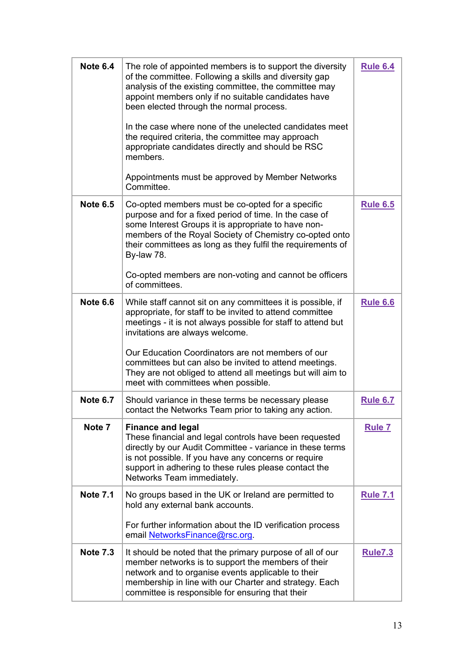<span id="page-12-6"></span><span id="page-12-5"></span><span id="page-12-4"></span><span id="page-12-3"></span><span id="page-12-2"></span><span id="page-12-1"></span><span id="page-12-0"></span>

| <b>Note 6.4</b> | The role of appointed members is to support the diversity<br>of the committee. Following a skills and diversity gap<br>analysis of the existing committee, the committee may<br>appoint members only if no suitable candidates have<br>been elected through the normal process.<br>In the case where none of the unelected candidates meet<br>the required criteria, the committee may approach<br>appropriate candidates directly and should be RSC<br>members.<br>Appointments must be approved by Member Networks<br>Committee. | <b>Rule 6.4</b> |
|-----------------|------------------------------------------------------------------------------------------------------------------------------------------------------------------------------------------------------------------------------------------------------------------------------------------------------------------------------------------------------------------------------------------------------------------------------------------------------------------------------------------------------------------------------------|-----------------|
| <b>Note 6.5</b> | Co-opted members must be co-opted for a specific<br>purpose and for a fixed period of time. In the case of<br>some Interest Groups it is appropriate to have non-<br>members of the Royal Society of Chemistry co-opted onto<br>their committees as long as they fulfil the requirements of<br>By-law 78.<br>Co-opted members are non-voting and cannot be officers<br>of committees.                                                                                                                                              | <b>Rule 6.5</b> |
| <b>Note 6.6</b> | While staff cannot sit on any committees it is possible, if<br>appropriate, for staff to be invited to attend committee<br>meetings - it is not always possible for staff to attend but<br>invitations are always welcome.<br>Our Education Coordinators are not members of our<br>committees but can also be invited to attend meetings.<br>They are not obliged to attend all meetings but will aim to<br>meet with committees when possible.                                                                                    | <b>Rule 6.6</b> |
| <b>Note 6.7</b> | Should variance in these terms be necessary please<br>contact the Networks Team prior to taking any action.                                                                                                                                                                                                                                                                                                                                                                                                                        | <b>Rule 6.7</b> |
| Note 7          | <b>Finance and legal</b><br>These financial and legal controls have been requested<br>directly by our Audit Committee - variance in these terms<br>is not possible. If you have any concerns or require<br>support in adhering to these rules please contact the<br>Networks Team immediately.                                                                                                                                                                                                                                     | <b>Rule 7</b>   |
| <b>Note 7.1</b> | No groups based in the UK or Ireland are permitted to<br>hold any external bank accounts.<br>For further information about the ID verification process<br>email NetworksFinance@rsc.org.                                                                                                                                                                                                                                                                                                                                           | <b>Rule 7.1</b> |
| <b>Note 7.3</b> | It should be noted that the primary purpose of all of our<br>member networks is to support the members of their<br>network and to organise events applicable to their<br>membership in line with our Charter and strategy. Each<br>committee is responsible for ensuring that their                                                                                                                                                                                                                                                | <b>Rule7.3</b>  |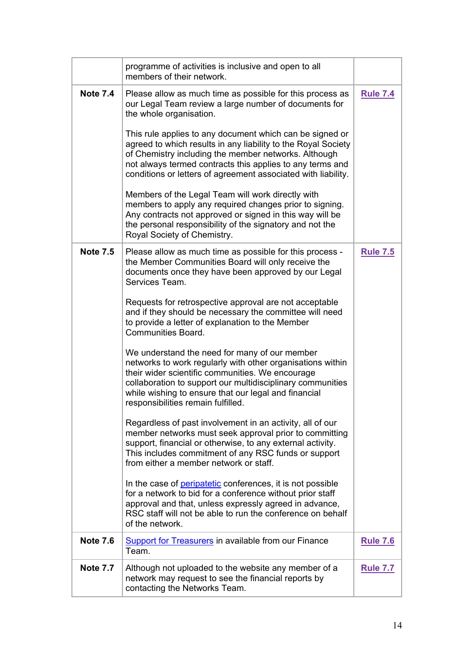<span id="page-13-3"></span><span id="page-13-2"></span><span id="page-13-1"></span><span id="page-13-0"></span>

|                 | programme of activities is inclusive and open to all<br>members of their network.                                                                                                                                                                                                                                           |                 |
|-----------------|-----------------------------------------------------------------------------------------------------------------------------------------------------------------------------------------------------------------------------------------------------------------------------------------------------------------------------|-----------------|
| <b>Note 7.4</b> | Please allow as much time as possible for this process as<br>our Legal Team review a large number of documents for<br>the whole organisation.                                                                                                                                                                               | <b>Rule 7.4</b> |
|                 | This rule applies to any document which can be signed or<br>agreed to which results in any liability to the Royal Society<br>of Chemistry including the member networks. Although<br>not always termed contracts this applies to any terms and<br>conditions or letters of agreement associated with liability.             |                 |
|                 | Members of the Legal Team will work directly with<br>members to apply any required changes prior to signing.<br>Any contracts not approved or signed in this way will be<br>the personal responsibility of the signatory and not the<br>Royal Society of Chemistry.                                                         |                 |
| <b>Note 7.5</b> | Please allow as much time as possible for this process -<br>the Member Communities Board will only receive the<br>documents once they have been approved by our Legal<br>Services Team.                                                                                                                                     | <b>Rule 7.5</b> |
|                 | Requests for retrospective approval are not acceptable<br>and if they should be necessary the committee will need<br>to provide a letter of explanation to the Member<br>Communities Board.                                                                                                                                 |                 |
|                 | We understand the need for many of our member<br>networks to work regularly with other organisations within<br>their wider scientific communities. We encourage<br>collaboration to support our multidisciplinary communities<br>while wishing to ensure that our legal and financial<br>responsibilities remain fulfilled. |                 |
|                 | Regardless of past involvement in an activity, all of our<br>member networks must seek approval prior to committing<br>support, financial or otherwise, to any external activity.<br>This includes commitment of any RSC funds or support<br>from either a member network or staff.                                         |                 |
|                 | In the case of <b>peripatetic</b> conferences, it is not possible<br>for a network to bid for a conference without prior staff<br>approval and that, unless expressly agreed in advance,<br>RSC staff will not be able to run the conference on behalf<br>of the network.                                                   |                 |
| <b>Note 7.6</b> | <b>Support for Treasurers in available from our Finance</b><br>Team.                                                                                                                                                                                                                                                        | <b>Rule 7.6</b> |
| <b>Note 7.7</b> | Although not uploaded to the website any member of a<br>network may request to see the financial reports by<br>contacting the Networks Team.                                                                                                                                                                                | <b>Rule 7.7</b> |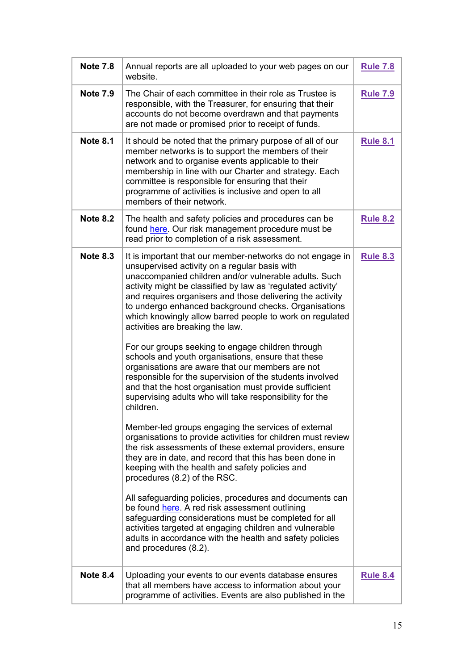<span id="page-14-4"></span><span id="page-14-3"></span><span id="page-14-2"></span><span id="page-14-1"></span><span id="page-14-0"></span>

| <b>Note 7.8</b> | Annual reports are all uploaded to your web pages on our<br>website.                                                                                                                                                                                                                                                                                                                                                                                                                                                                                                                                                                                                                                                                                                                                                                                                                                                                                                                                                                                                                                                                                                                                                                                                                                                                                                                                                                                                        | <b>Rule 7.8</b> |
|-----------------|-----------------------------------------------------------------------------------------------------------------------------------------------------------------------------------------------------------------------------------------------------------------------------------------------------------------------------------------------------------------------------------------------------------------------------------------------------------------------------------------------------------------------------------------------------------------------------------------------------------------------------------------------------------------------------------------------------------------------------------------------------------------------------------------------------------------------------------------------------------------------------------------------------------------------------------------------------------------------------------------------------------------------------------------------------------------------------------------------------------------------------------------------------------------------------------------------------------------------------------------------------------------------------------------------------------------------------------------------------------------------------------------------------------------------------------------------------------------------------|-----------------|
| <b>Note 7.9</b> | The Chair of each committee in their role as Trustee is<br>responsible, with the Treasurer, for ensuring that their<br>accounts do not become overdrawn and that payments<br>are not made or promised prior to receipt of funds.                                                                                                                                                                                                                                                                                                                                                                                                                                                                                                                                                                                                                                                                                                                                                                                                                                                                                                                                                                                                                                                                                                                                                                                                                                            | <b>Rule 7.9</b> |
| <b>Note 8.1</b> | It should be noted that the primary purpose of all of our<br>member networks is to support the members of their<br>network and to organise events applicable to their<br>membership in line with our Charter and strategy. Each<br>committee is responsible for ensuring that their<br>programme of activities is inclusive and open to all<br>members of their network.                                                                                                                                                                                                                                                                                                                                                                                                                                                                                                                                                                                                                                                                                                                                                                                                                                                                                                                                                                                                                                                                                                    | <b>Rule 8.1</b> |
| <b>Note 8.2</b> | The health and safety policies and procedures can be<br>found here. Our risk management procedure must be<br>read prior to completion of a risk assessment.                                                                                                                                                                                                                                                                                                                                                                                                                                                                                                                                                                                                                                                                                                                                                                                                                                                                                                                                                                                                                                                                                                                                                                                                                                                                                                                 | <b>Rule 8.2</b> |
| <b>Note 8.3</b> | It is important that our member-networks do not engage in<br>unsupervised activity on a regular basis with<br>unaccompanied children and/or vulnerable adults. Such<br>activity might be classified by law as 'regulated activity'<br>and requires organisers and those delivering the activity<br>to undergo enhanced background checks. Organisations<br>which knowingly allow barred people to work on regulated<br>activities are breaking the law.<br>For our groups seeking to engage children through<br>schools and youth organisations, ensure that these<br>organisations are aware that our members are not<br>responsible for the supervision of the students involved<br>and that the host organisation must provide sufficient<br>supervising adults who will take responsibility for the<br>children.<br>Member-led groups engaging the services of external<br>organisations to provide activities for children must review<br>the risk assessments of these external providers, ensure<br>they are in date, and record that this has been done in<br>keeping with the health and safety policies and<br>procedures (8.2) of the RSC.<br>All safeguarding policies, procedures and documents can<br>be found here. A red risk assessment outlining<br>safeguarding considerations must be completed for all<br>activities targeted at engaging children and vulnerable<br>adults in accordance with the health and safety policies<br>and procedures (8.2). | <b>Rule 8.3</b> |
| <b>Note 8.4</b> | Uploading your events to our events database ensures<br>that all members have access to information about your<br>programme of activities. Events are also published in the                                                                                                                                                                                                                                                                                                                                                                                                                                                                                                                                                                                                                                                                                                                                                                                                                                                                                                                                                                                                                                                                                                                                                                                                                                                                                                 | <b>Rule 8.4</b> |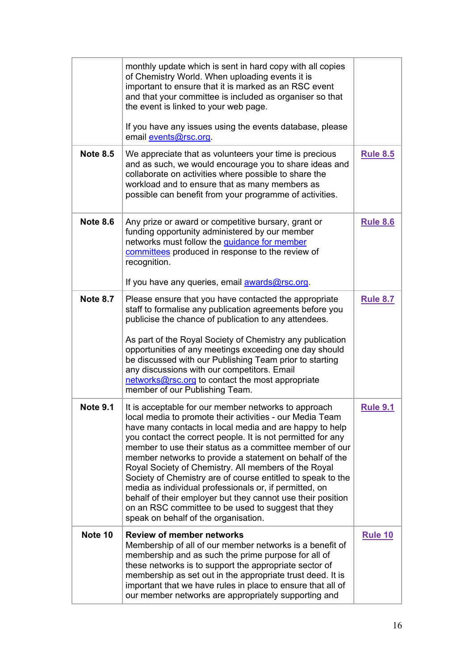<span id="page-15-4"></span><span id="page-15-3"></span><span id="page-15-2"></span><span id="page-15-1"></span><span id="page-15-0"></span>

|                 | monthly update which is sent in hard copy with all copies<br>of Chemistry World. When uploading events it is<br>important to ensure that it is marked as an RSC event<br>and that your committee is included as organiser so that<br>the event is linked to your web page.<br>If you have any issues using the events database, please<br>email events@rsc.org.                                                                                                                                                                                                                                                                                                                                                 |                 |
|-----------------|-----------------------------------------------------------------------------------------------------------------------------------------------------------------------------------------------------------------------------------------------------------------------------------------------------------------------------------------------------------------------------------------------------------------------------------------------------------------------------------------------------------------------------------------------------------------------------------------------------------------------------------------------------------------------------------------------------------------|-----------------|
| <b>Note 8.5</b> | We appreciate that as volunteers your time is precious<br>and as such, we would encourage you to share ideas and<br>collaborate on activities where possible to share the<br>workload and to ensure that as many members as<br>possible can benefit from your programme of activities.                                                                                                                                                                                                                                                                                                                                                                                                                          | <b>Rule 8.5</b> |
| <b>Note 8.6</b> | Any prize or award or competitive bursary, grant or<br>funding opportunity administered by our member<br>networks must follow the <b>quidance for member</b><br>committees produced in response to the review of<br>recognition.<br>If you have any queries, email <b>awards@rsc.org</b> .                                                                                                                                                                                                                                                                                                                                                                                                                      | <b>Rule 8.6</b> |
| <b>Note 8.7</b> | Please ensure that you have contacted the appropriate<br>staff to formalise any publication agreements before you<br>publicise the chance of publication to any attendees.<br>As part of the Royal Society of Chemistry any publication<br>opportunities of any meetings exceeding one day should<br>be discussed with our Publishing Team prior to starting<br>any discussions with our competitors. Email<br>networks@rsc.org to contact the most appropriate<br>member of our Publishing Team.                                                                                                                                                                                                               | <b>Rule 8.7</b> |
| <b>Note 9.1</b> | It is acceptable for our member networks to approach<br>local media to promote their activities - our Media Team<br>have many contacts in local media and are happy to help<br>you contact the correct people. It is not permitted for any<br>member to use their status as a committee member of our<br>member networks to provide a statement on behalf of the<br>Royal Society of Chemistry. All members of the Royal<br>Society of Chemistry are of course entitled to speak to the<br>media as individual professionals or, if permitted, on<br>behalf of their employer but they cannot use their position<br>on an RSC committee to be used to suggest that they<br>speak on behalf of the organisation. | <b>Rule 9.1</b> |
| Note 10         | <b>Review of member networks</b><br>Membership of all of our member networks is a benefit of<br>membership and as such the prime purpose for all of<br>these networks is to support the appropriate sector of<br>membership as set out in the appropriate trust deed. It is<br>important that we have rules in place to ensure that all of<br>our member networks are appropriately supporting and                                                                                                                                                                                                                                                                                                              | <b>Rule 10</b>  |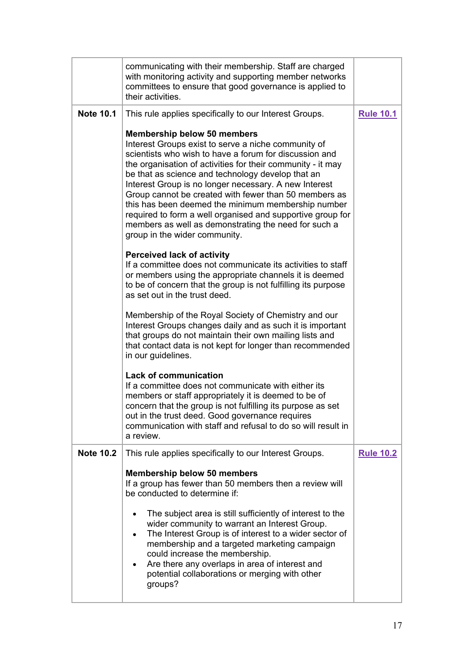<span id="page-16-1"></span><span id="page-16-0"></span>

| communicating with their membership. Staff are charged<br>with monitoring activity and supporting member networks<br>committees to ensure that good governance is applied to<br>their activities.                                                                                                                                                                                                                                                                                                                                                                                                      |                  |
|--------------------------------------------------------------------------------------------------------------------------------------------------------------------------------------------------------------------------------------------------------------------------------------------------------------------------------------------------------------------------------------------------------------------------------------------------------------------------------------------------------------------------------------------------------------------------------------------------------|------------------|
| This rule applies specifically to our Interest Groups.                                                                                                                                                                                                                                                                                                                                                                                                                                                                                                                                                 | <b>Rule 10.1</b> |
| <b>Membership below 50 members</b><br>Interest Groups exist to serve a niche community of<br>scientists who wish to have a forum for discussion and<br>the organisation of activities for their community - it may<br>be that as science and technology develop that an<br>Interest Group is no longer necessary. A new Interest<br>Group cannot be created with fewer than 50 members as<br>this has been deemed the minimum membership number<br>required to form a well organised and supportive group for<br>members as well as demonstrating the need for such a<br>group in the wider community. |                  |
| <b>Perceived lack of activity</b><br>If a committee does not communicate its activities to staff<br>or members using the appropriate channels it is deemed<br>to be of concern that the group is not fulfilling its purpose<br>as set out in the trust deed.                                                                                                                                                                                                                                                                                                                                           |                  |
| Membership of the Royal Society of Chemistry and our<br>Interest Groups changes daily and as such it is important<br>that groups do not maintain their own mailing lists and<br>that contact data is not kept for longer than recommended<br>in our guidelines.                                                                                                                                                                                                                                                                                                                                        |                  |
| <b>Lack of communication</b><br>If a committee does not communicate with either its<br>members or staff appropriately it is deemed to be of<br>concern that the group is not fulfilling its purpose as set<br>out in the trust deed. Good governance requires<br>communication with staff and refusal to do so will result in<br>a review.                                                                                                                                                                                                                                                             |                  |
| This rule applies specifically to our Interest Groups.                                                                                                                                                                                                                                                                                                                                                                                                                                                                                                                                                 | <b>Rule 10.2</b> |
| <b>Membership below 50 members</b><br>If a group has fewer than 50 members then a review will<br>be conducted to determine if:<br>The subject area is still sufficiently of interest to the<br>wider community to warrant an Interest Group.<br>The Interest Group is of interest to a wider sector of<br>membership and a targeted marketing campaign<br>could increase the membership.<br>Are there any overlaps in area of interest and<br>potential collaborations or merging with other                                                                                                           |                  |
|                                                                                                                                                                                                                                                                                                                                                                                                                                                                                                                                                                                                        | groups?          |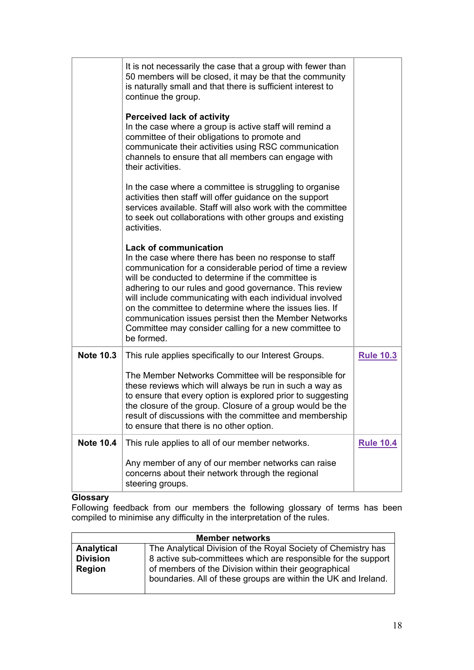|                  | It is not necessarily the case that a group with fewer than<br>50 members will be closed, it may be that the community<br>is naturally small and that there is sufficient interest to<br>continue the group.                                                                                                                                                                                                                                                                                                             |                  |
|------------------|--------------------------------------------------------------------------------------------------------------------------------------------------------------------------------------------------------------------------------------------------------------------------------------------------------------------------------------------------------------------------------------------------------------------------------------------------------------------------------------------------------------------------|------------------|
|                  | <b>Perceived lack of activity</b><br>In the case where a group is active staff will remind a<br>committee of their obligations to promote and<br>communicate their activities using RSC communication<br>channels to ensure that all members can engage with<br>their activities.                                                                                                                                                                                                                                        |                  |
|                  | In the case where a committee is struggling to organise<br>activities then staff will offer guidance on the support<br>services available. Staff will also work with the committee<br>to seek out collaborations with other groups and existing<br>activities.                                                                                                                                                                                                                                                           |                  |
|                  | <b>Lack of communication</b><br>In the case where there has been no response to staff<br>communication for a considerable period of time a review<br>will be conducted to determine if the committee is<br>adhering to our rules and good governance. This review<br>will include communicating with each individual involved<br>on the committee to determine where the issues lies. If<br>communication issues persist then the Member Networks<br>Committee may consider calling for a new committee to<br>be formed. |                  |
| <b>Note 10.3</b> | This rule applies specifically to our Interest Groups.                                                                                                                                                                                                                                                                                                                                                                                                                                                                   | <b>Rule 10.3</b> |
|                  | The Member Networks Committee will be responsible for<br>these reviews which will always be run in such a way as<br>to ensure that every option is explored prior to suggesting<br>the closure of the group. Closure of a group would be the<br>result of discussions with the committee and membership<br>to ensure that there is no other option.                                                                                                                                                                      |                  |
| <b>Note 10.4</b> | This rule applies to all of our member networks.                                                                                                                                                                                                                                                                                                                                                                                                                                                                         | <b>Rule 10.4</b> |
|                  | Any member of any of our member networks can raise<br>concerns about their network through the regional<br>steering groups.                                                                                                                                                                                                                                                                                                                                                                                              |                  |

## <span id="page-17-2"></span><span id="page-17-1"></span><span id="page-17-0"></span>**Glossary**

Following feedback from our members the following glossary of terms has been compiled to minimise any difficulty in the interpretation of the rules.

| <b>Member networks</b> |                                                                |  |
|------------------------|----------------------------------------------------------------|--|
| Analytical             | The Analytical Division of the Royal Society of Chemistry has  |  |
| <b>Division</b>        | 8 active sub-committees which are responsible for the support  |  |
| <b>Region</b>          | of members of the Division within their geographical           |  |
|                        | boundaries. All of these groups are within the UK and Ireland. |  |
|                        |                                                                |  |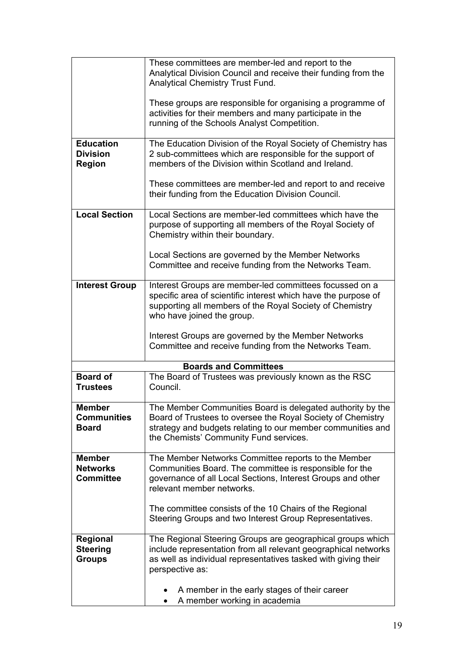|                                     | These committees are member-led and report to the<br>Analytical Division Council and receive their funding from the                                                  |
|-------------------------------------|----------------------------------------------------------------------------------------------------------------------------------------------------------------------|
|                                     | Analytical Chemistry Trust Fund.                                                                                                                                     |
|                                     | These groups are responsible for organising a programme of                                                                                                           |
|                                     | activities for their members and many participate in the                                                                                                             |
|                                     | running of the Schools Analyst Competition.                                                                                                                          |
| <b>Education</b>                    | The Education Division of the Royal Society of Chemistry has                                                                                                         |
| <b>Division</b><br><b>Region</b>    | 2 sub-committees which are responsible for the support of<br>members of the Division within Scotland and Ireland.                                                    |
|                                     | These committees are member-led and report to and receive<br>their funding from the Education Division Council.                                                      |
| <b>Local Section</b>                | Local Sections are member-led committees which have the<br>purpose of supporting all members of the Royal Society of<br>Chemistry within their boundary.             |
|                                     | Local Sections are governed by the Member Networks<br>Committee and receive funding from the Networks Team.                                                          |
| <b>Interest Group</b>               | Interest Groups are member-led committees focussed on a<br>specific area of scientific interest which have the purpose of                                            |
|                                     | supporting all members of the Royal Society of Chemistry                                                                                                             |
|                                     | who have joined the group.                                                                                                                                           |
|                                     | Interest Groups are governed by the Member Networks<br>Committee and receive funding from the Networks Team.                                                         |
|                                     | <b>Boards and Committees</b>                                                                                                                                         |
| <b>Board of</b><br><b>Trustees</b>  | The Board of Trustees was previously known as the RSC<br>Council.                                                                                                    |
| <b>Member</b><br><b>Communities</b> | The Member Communities Board is delegated authority by the                                                                                                           |
| <b>Board</b>                        | Board of Trustees to oversee the Royal Society of Chemistry<br>strategy and budgets relating to our member communities and<br>the Chemists' Community Fund services. |
| <b>Member</b>                       | The Member Networks Committee reports to the Member                                                                                                                  |
| <b>Networks</b><br><b>Committee</b> | Communities Board. The committee is responsible for the<br>governance of all Local Sections, Interest Groups and other                                               |
|                                     | relevant member networks.                                                                                                                                            |
|                                     | The committee consists of the 10 Chairs of the Regional                                                                                                              |
|                                     | Steering Groups and two Interest Group Representatives.                                                                                                              |
| <b>Regional</b>                     | The Regional Steering Groups are geographical groups which                                                                                                           |
| <b>Steering</b><br><b>Groups</b>    | include representation from all relevant geographical networks<br>as well as individual representatives tasked with giving their                                     |
|                                     | perspective as:                                                                                                                                                      |
|                                     | A member in the early stages of their career                                                                                                                         |
|                                     | A member working in academia                                                                                                                                         |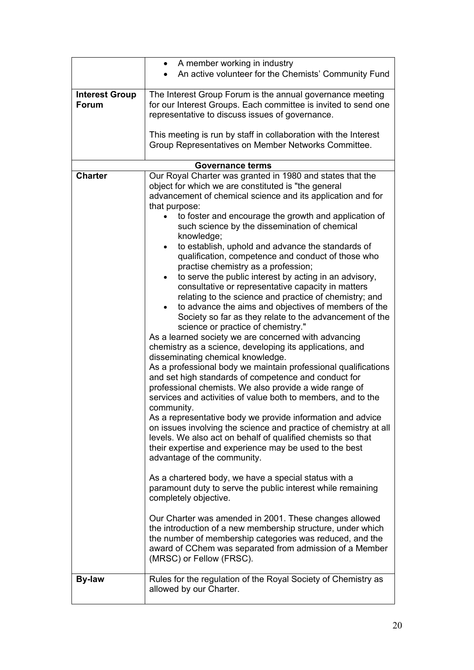|                                       | • A member working in industry                                                                                                                                                                                                                                                                                                                                                                                                                                                                                                                                                                                                                                                                                                                                                                                                                                                                                                                                                                                                                                                                                                                                                                                                                                                                                                                                                                                                                                                                                                                                                                                                                                                                                                                                                                                                                                                                                                                                                           |
|---------------------------------------|------------------------------------------------------------------------------------------------------------------------------------------------------------------------------------------------------------------------------------------------------------------------------------------------------------------------------------------------------------------------------------------------------------------------------------------------------------------------------------------------------------------------------------------------------------------------------------------------------------------------------------------------------------------------------------------------------------------------------------------------------------------------------------------------------------------------------------------------------------------------------------------------------------------------------------------------------------------------------------------------------------------------------------------------------------------------------------------------------------------------------------------------------------------------------------------------------------------------------------------------------------------------------------------------------------------------------------------------------------------------------------------------------------------------------------------------------------------------------------------------------------------------------------------------------------------------------------------------------------------------------------------------------------------------------------------------------------------------------------------------------------------------------------------------------------------------------------------------------------------------------------------------------------------------------------------------------------------------------------------|
|                                       | An active volunteer for the Chemists' Community Fund                                                                                                                                                                                                                                                                                                                                                                                                                                                                                                                                                                                                                                                                                                                                                                                                                                                                                                                                                                                                                                                                                                                                                                                                                                                                                                                                                                                                                                                                                                                                                                                                                                                                                                                                                                                                                                                                                                                                     |
| <b>Interest Group</b><br><b>Forum</b> | The Interest Group Forum is the annual governance meeting<br>for our Interest Groups. Each committee is invited to send one<br>representative to discuss issues of governance.<br>This meeting is run by staff in collaboration with the Interest<br>Group Representatives on Member Networks Committee.                                                                                                                                                                                                                                                                                                                                                                                                                                                                                                                                                                                                                                                                                                                                                                                                                                                                                                                                                                                                                                                                                                                                                                                                                                                                                                                                                                                                                                                                                                                                                                                                                                                                                 |
|                                       | <b>Governance terms</b>                                                                                                                                                                                                                                                                                                                                                                                                                                                                                                                                                                                                                                                                                                                                                                                                                                                                                                                                                                                                                                                                                                                                                                                                                                                                                                                                                                                                                                                                                                                                                                                                                                                                                                                                                                                                                                                                                                                                                                  |
| <b>Charter</b>                        | Our Royal Charter was granted in 1980 and states that the<br>object for which we are constituted is "the general<br>advancement of chemical science and its application and for<br>that purpose:<br>to foster and encourage the growth and application of<br>such science by the dissemination of chemical<br>knowledge;<br>to establish, uphold and advance the standards of<br>$\bullet$<br>qualification, competence and conduct of those who<br>practise chemistry as a profession;<br>to serve the public interest by acting in an advisory,<br>consultative or representative capacity in matters<br>relating to the science and practice of chemistry; and<br>to advance the aims and objectives of members of the<br>$\bullet$<br>Society so far as they relate to the advancement of the<br>science or practice of chemistry."<br>As a learned society we are concerned with advancing<br>chemistry as a science, developing its applications, and<br>disseminating chemical knowledge.<br>As a professional body we maintain professional qualifications<br>and set high standards of competence and conduct for<br>professional chemists. We also provide a wide range of<br>services and activities of value both to members, and to the<br>community.<br>As a representative body we provide information and advice<br>on issues involving the science and practice of chemistry at all<br>levels. We also act on behalf of qualified chemists so that<br>their expertise and experience may be used to the best<br>advantage of the community.<br>As a chartered body, we have a special status with a<br>paramount duty to serve the public interest while remaining<br>completely objective.<br>Our Charter was amended in 2001. These changes allowed<br>the introduction of a new membership structure, under which<br>the number of membership categories was reduced, and the<br>award of CChem was separated from admission of a Member<br>(MRSC) or Fellow (FRSC). |
| By-law                                | Rules for the regulation of the Royal Society of Chemistry as<br>allowed by our Charter.                                                                                                                                                                                                                                                                                                                                                                                                                                                                                                                                                                                                                                                                                                                                                                                                                                                                                                                                                                                                                                                                                                                                                                                                                                                                                                                                                                                                                                                                                                                                                                                                                                                                                                                                                                                                                                                                                                 |
|                                       |                                                                                                                                                                                                                                                                                                                                                                                                                                                                                                                                                                                                                                                                                                                                                                                                                                                                                                                                                                                                                                                                                                                                                                                                                                                                                                                                                                                                                                                                                                                                                                                                                                                                                                                                                                                                                                                                                                                                                                                          |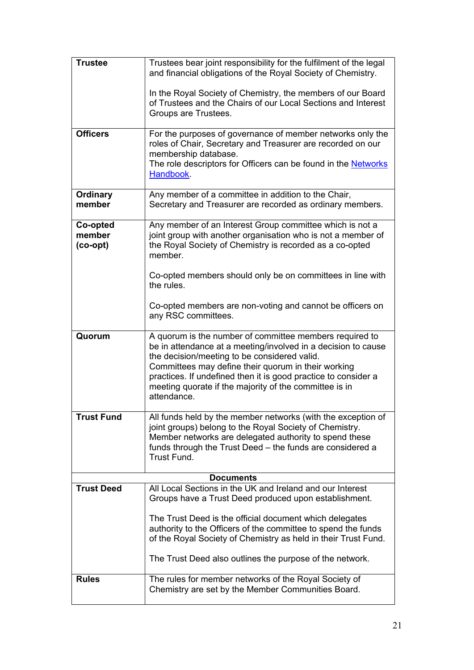<span id="page-20-0"></span>

| <b>Trustee</b>                   | Trustees bear joint responsibility for the fulfilment of the legal<br>and financial obligations of the Royal Society of Chemistry.                                                                                                                                                                                                                                         |
|----------------------------------|----------------------------------------------------------------------------------------------------------------------------------------------------------------------------------------------------------------------------------------------------------------------------------------------------------------------------------------------------------------------------|
|                                  | In the Royal Society of Chemistry, the members of our Board<br>of Trustees and the Chairs of our Local Sections and Interest<br>Groups are Trustees.                                                                                                                                                                                                                       |
| <b>Officers</b>                  | For the purposes of governance of member networks only the<br>roles of Chair, Secretary and Treasurer are recorded on our<br>membership database.<br>The role descriptors for Officers can be found in the Networks<br>Handbook.                                                                                                                                           |
| <b>Ordinary</b><br>member        | Any member of a committee in addition to the Chair,<br>Secretary and Treasurer are recorded as ordinary members.                                                                                                                                                                                                                                                           |
| Co-opted<br>member<br>$(co-opt)$ | Any member of an Interest Group committee which is not a<br>joint group with another organisation who is not a member of<br>the Royal Society of Chemistry is recorded as a co-opted<br>member.                                                                                                                                                                            |
|                                  | Co-opted members should only be on committees in line with<br>the rules.                                                                                                                                                                                                                                                                                                   |
|                                  | Co-opted members are non-voting and cannot be officers on<br>any RSC committees.                                                                                                                                                                                                                                                                                           |
| Quorum                           | A quorum is the number of committee members required to<br>be in attendance at a meeting/involved in a decision to cause<br>the decision/meeting to be considered valid.<br>Committees may define their quorum in their working<br>practices. If undefined then it is good practice to consider a<br>meeting quorate if the majority of the committee is in<br>attendance. |
| <b>Trust Fund</b>                | All funds held by the member networks (with the exception of<br>joint groups) belong to the Royal Society of Chemistry.<br>Member networks are delegated authority to spend these<br>funds through the Trust Deed - the funds are considered a<br>Trust Fund.                                                                                                              |
|                                  | <b>Documents</b>                                                                                                                                                                                                                                                                                                                                                           |
| <b>Trust Deed</b>                | All Local Sections in the UK and Ireland and our Interest<br>Groups have a Trust Deed produced upon establishment.                                                                                                                                                                                                                                                         |
|                                  | The Trust Deed is the official document which delegates<br>authority to the Officers of the committee to spend the funds<br>of the Royal Society of Chemistry as held in their Trust Fund.                                                                                                                                                                                 |
|                                  | The Trust Deed also outlines the purpose of the network.                                                                                                                                                                                                                                                                                                                   |
| <b>Rules</b>                     | The rules for member networks of the Royal Society of<br>Chemistry are set by the Member Communities Board.                                                                                                                                                                                                                                                                |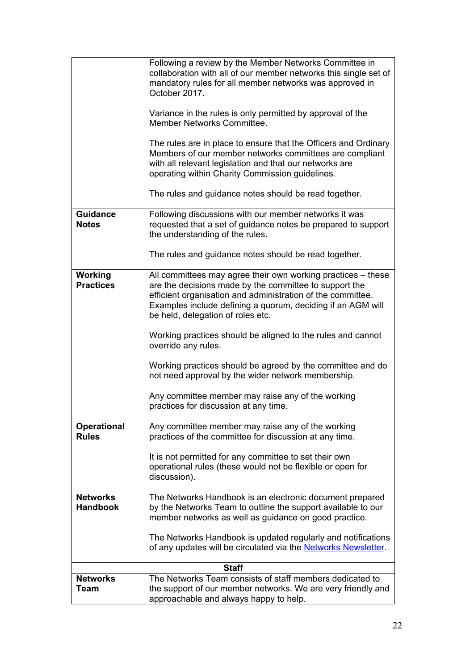|                                    | Following a review by the Member Networks Committee in<br>collaboration with all of our member networks this single set of<br>mandatory rules for all member networks was approved in<br>October 2017.<br>Variance in the rules is only permitted by approval of the<br>Member Networks Committee.<br>The rules are in place to ensure that the Officers and Ordinary<br>Members of our member networks committees are compliant<br>with all relevant legislation and that our networks are<br>operating within Charity Commission guidelines. |
|------------------------------------|------------------------------------------------------------------------------------------------------------------------------------------------------------------------------------------------------------------------------------------------------------------------------------------------------------------------------------------------------------------------------------------------------------------------------------------------------------------------------------------------------------------------------------------------|
|                                    | The rules and guidance notes should be read together.                                                                                                                                                                                                                                                                                                                                                                                                                                                                                          |
| <b>Guidance</b><br><b>Notes</b>    | Following discussions with our member networks it was<br>requested that a set of guidance notes be prepared to support<br>the understanding of the rules.                                                                                                                                                                                                                                                                                                                                                                                      |
|                                    | The rules and guidance notes should be read together.                                                                                                                                                                                                                                                                                                                                                                                                                                                                                          |
| Working<br><b>Practices</b>        | All committees may agree their own working practices - these<br>are the decisions made by the committee to support the<br>efficient organisation and administration of the committee.<br>Examples include defining a quorum, deciding if an AGM will<br>be held, delegation of roles etc.<br>Working practices should be aligned to the rules and cannot<br>override any rules.                                                                                                                                                                |
|                                    | Working practices should be agreed by the committee and do<br>not need approval by the wider network membership.                                                                                                                                                                                                                                                                                                                                                                                                                               |
|                                    | Any committee member may raise any of the working<br>practices for discussion at any time.                                                                                                                                                                                                                                                                                                                                                                                                                                                     |
| <b>Operational</b><br><b>Rules</b> | Any committee member may raise any of the working<br>practices of the committee for discussion at any time.                                                                                                                                                                                                                                                                                                                                                                                                                                    |
|                                    | It is not permitted for any committee to set their own<br>operational rules (these would not be flexible or open for<br>discussion).                                                                                                                                                                                                                                                                                                                                                                                                           |
| <b>Networks</b><br><b>Handbook</b> | The Networks Handbook is an electronic document prepared<br>by the Networks Team to outline the support available to our<br>member networks as well as guidance on good practice.                                                                                                                                                                                                                                                                                                                                                              |
|                                    | The Networks Handbook is updated regularly and notifications<br>of any updates will be circulated via the Networks Newsletter.                                                                                                                                                                                                                                                                                                                                                                                                                 |
|                                    | <b>Staff</b>                                                                                                                                                                                                                                                                                                                                                                                                                                                                                                                                   |
| <b>Networks</b><br>Team            | The Networks Team consists of staff members dedicated to<br>the support of our member networks. We are very friendly and<br>approachable and always happy to help.                                                                                                                                                                                                                                                                                                                                                                             |